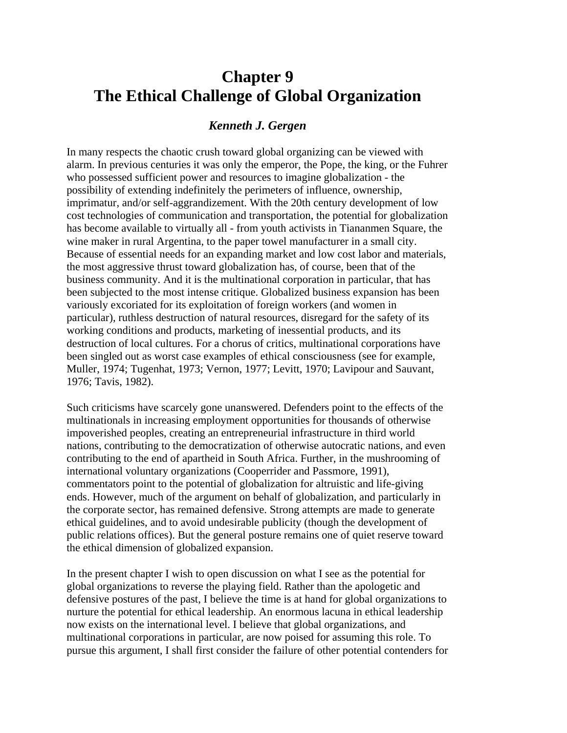# **Chapter 9 The Ethical Challenge of Global Organization**

## *Kenneth J. Gergen*

In many respects the chaotic crush toward global organizing can be viewed with alarm. In previous centuries it was only the emperor, the Pope, the king, or the Fuhrer who possessed sufficient power and resources to imagine globalization - the possibility of extending indefinitely the perimeters of influence, ownership, imprimatur, and/or self-aggrandizement. With the 20th century development of low cost technologies of communication and transportation, the potential for globalization has become available to virtually all - from youth activists in Tiananmen Square, the wine maker in rural Argentina, to the paper towel manufacturer in a small city. Because of essential needs for an expanding market and low cost labor and materials, the most aggressive thrust toward globalization has, of course, been that of the business community. And it is the multinational corporation in particular, that has been subjected to the most intense critique. Globalized business expansion has been variously excoriated for its exploitation of foreign workers (and women in particular), ruthless destruction of natural resources, disregard for the safety of its working conditions and products, marketing of inessential products, and its destruction of local cultures. For a chorus of critics, multinational corporations have been singled out as worst case examples of ethical consciousness (see for example, Muller, 1974; Tugenhat, 1973; Vernon, 1977; Levitt, 1970; Lavipour and Sauvant, 1976; Tavis, 1982).

Such criticisms have scarcely gone unanswered. Defenders point to the effects of the multinationals in increasing employment opportunities for thousands of otherwise impoverished peoples, creating an entrepreneurial infrastructure in third world nations, contributing to the democratization of otherwise autocratic nations, and even contributing to the end of apartheid in South Africa. Further, in the mushrooming of international voluntary organizations (Cooperrider and Passmore, 1991), commentators point to the potential of globalization for altruistic and life-giving ends. However, much of the argument on behalf of globalization, and particularly in the corporate sector, has remained defensive. Strong attempts are made to generate ethical guidelines, and to avoid undesirable publicity (though the development of public relations offices). But the general posture remains one of quiet reserve toward the ethical dimension of globalized expansion.

In the present chapter I wish to open discussion on what I see as the potential for global organizations to reverse the playing field. Rather than the apologetic and defensive postures of the past, I believe the time is at hand for global organizations to nurture the potential for ethical leadership. An enormous lacuna in ethical leadership now exists on the international level. I believe that global organizations, and multinational corporations in particular, are now poised for assuming this role. To pursue this argument, I shall first consider the failure of other potential contenders for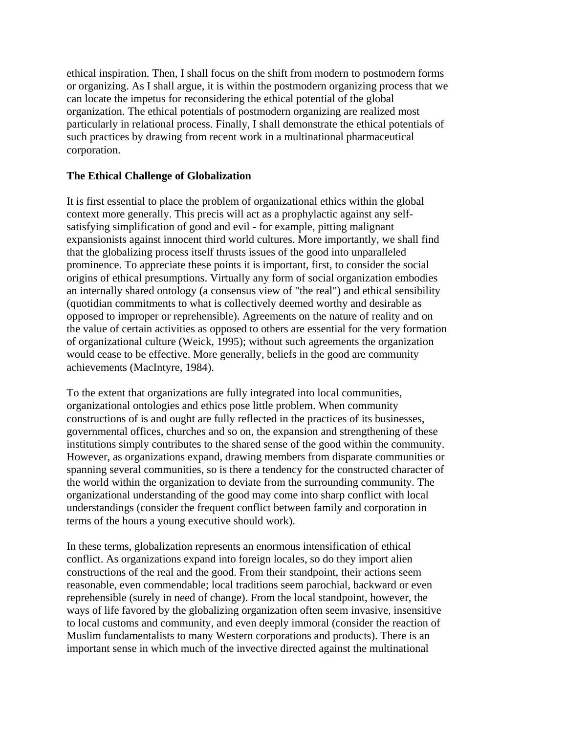ethical inspiration. Then, I shall focus on the shift from modern to postmodern forms or organizing. As I shall argue, it is within the postmodern organizing process that we can locate the impetus for reconsidering the ethical potential of the global organization. The ethical potentials of postmodern organizing are realized most particularly in relational process. Finally, I shall demonstrate the ethical potentials of such practices by drawing from recent work in a multinational pharmaceutical corporation.

## **The Ethical Challenge of Globalization**

It is first essential to place the problem of organizational ethics within the global context more generally. This precis will act as a prophylactic against any selfsatisfying simplification of good and evil - for example, pitting malignant expansionists against innocent third world cultures. More importantly, we shall find that the globalizing process itself thrusts issues of the good into unparalleled prominence. To appreciate these points it is important, first, to consider the social origins of ethical presumptions. Virtually any form of social organization embodies an internally shared ontology (a consensus view of "the real") and ethical sensibility (quotidian commitments to what is collectively deemed worthy and desirable as opposed to improper or reprehensible). Agreements on the nature of reality and on the value of certain activities as opposed to others are essential for the very formation of organizational culture (Weick, 1995); without such agreements the organization would cease to be effective. More generally, beliefs in the good are community achievements (MacIntyre, 1984).

To the extent that organizations are fully integrated into local communities, organizational ontologies and ethics pose little problem. When community constructions of is and ought are fully reflected in the practices of its businesses, governmental offices, churches and so on, the expansion and strengthening of these institutions simply contributes to the shared sense of the good within the community. However, as organizations expand, drawing members from disparate communities or spanning several communities, so is there a tendency for the constructed character of the world within the organization to deviate from the surrounding community. The organizational understanding of the good may come into sharp conflict with local understandings (consider the frequent conflict between family and corporation in terms of the hours a young executive should work).

In these terms, globalization represents an enormous intensification of ethical conflict. As organizations expand into foreign locales, so do they import alien constructions of the real and the good. From their standpoint, their actions seem reasonable, even commendable; local traditions seem parochial, backward or even reprehensible (surely in need of change). From the local standpoint, however, the ways of life favored by the globalizing organization often seem invasive, insensitive to local customs and community, and even deeply immoral (consider the reaction of Muslim fundamentalists to many Western corporations and products). There is an important sense in which much of the invective directed against the multinational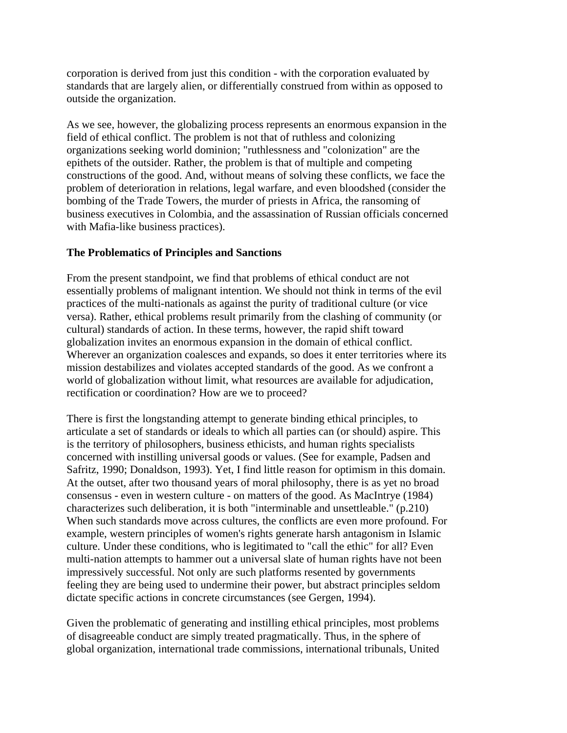corporation is derived from just this condition - with the corporation evaluated by standards that are largely alien, or differentially construed from within as opposed to outside the organization.

As we see, however, the globalizing process represents an enormous expansion in the field of ethical conflict. The problem is not that of ruthless and colonizing organizations seeking world dominion; "ruthlessness and "colonization" are the epithets of the outsider. Rather, the problem is that of multiple and competing constructions of the good. And, without means of solving these conflicts, we face the problem of deterioration in relations, legal warfare, and even bloodshed (consider the bombing of the Trade Towers, the murder of priests in Africa, the ransoming of business executives in Colombia, and the assassination of Russian officials concerned with Mafia-like business practices).

## **The Problematics of Principles and Sanctions**

From the present standpoint, we find that problems of ethical conduct are not essentially problems of malignant intention. We should not think in terms of the evil practices of the multi-nationals as against the purity of traditional culture (or vice versa). Rather, ethical problems result primarily from the clashing of community (or cultural) standards of action. In these terms, however, the rapid shift toward globalization invites an enormous expansion in the domain of ethical conflict. Wherever an organization coalesces and expands, so does it enter territories where its mission destabilizes and violates accepted standards of the good. As we confront a world of globalization without limit, what resources are available for adjudication, rectification or coordination? How are we to proceed?

There is first the longstanding attempt to generate binding ethical principles, to articulate a set of standards or ideals to which all parties can (or should) aspire. This is the territory of philosophers, business ethicists, and human rights specialists concerned with instilling universal goods or values. (See for example, Padsen and Safritz, 1990; Donaldson, 1993). Yet, I find little reason for optimism in this domain. At the outset, after two thousand years of moral philosophy, there is as yet no broad consensus - even in western culture - on matters of the good. As MacIntrye (1984) characterizes such deliberation, it is both "interminable and unsettleable." (p.210) When such standards move across cultures, the conflicts are even more profound. For example, western principles of women's rights generate harsh antagonism in Islamic culture. Under these conditions, who is legitimated to "call the ethic" for all? Even multi-nation attempts to hammer out a universal slate of human rights have not been impressively successful. Not only are such platforms resented by governments feeling they are being used to undermine their power, but abstract principles seldom dictate specific actions in concrete circumstances (see Gergen, 1994).

Given the problematic of generating and instilling ethical principles, most problems of disagreeable conduct are simply treated pragmatically. Thus, in the sphere of global organization, international trade commissions, international tribunals, United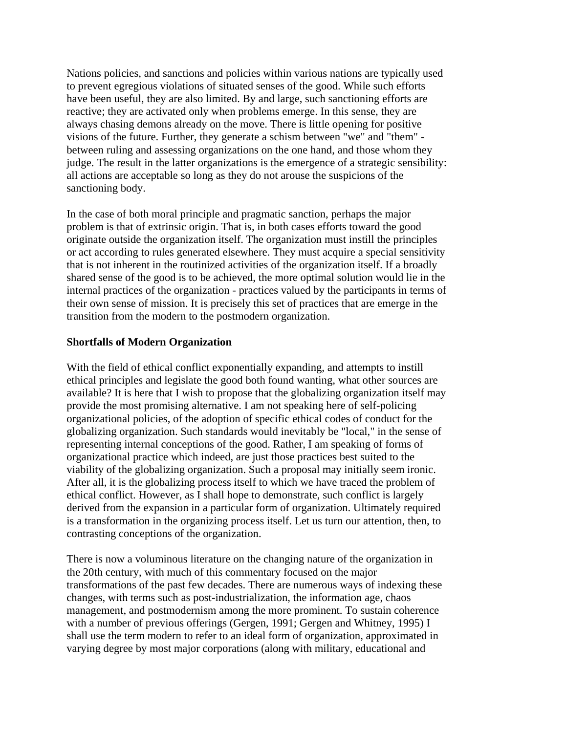Nations policies, and sanctions and policies within various nations are typically used to prevent egregious violations of situated senses of the good. While such efforts have been useful, they are also limited. By and large, such sanctioning efforts are reactive; they are activated only when problems emerge. In this sense, they are always chasing demons already on the move. There is little opening for positive visions of the future. Further, they generate a schism between "we" and "them" between ruling and assessing organizations on the one hand, and those whom they judge. The result in the latter organizations is the emergence of a strategic sensibility: all actions are acceptable so long as they do not arouse the suspicions of the sanctioning body.

In the case of both moral principle and pragmatic sanction, perhaps the major problem is that of extrinsic origin. That is, in both cases efforts toward the good originate outside the organization itself. The organization must instill the principles or act according to rules generated elsewhere. They must acquire a special sensitivity that is not inherent in the routinized activities of the organization itself. If a broadly shared sense of the good is to be achieved, the more optimal solution would lie in the internal practices of the organization - practices valued by the participants in terms of their own sense of mission. It is precisely this set of practices that are emerge in the transition from the modern to the postmodern organization.

## **Shortfalls of Modern Organization**

With the field of ethical conflict exponentially expanding, and attempts to instill ethical principles and legislate the good both found wanting, what other sources are available? It is here that I wish to propose that the globalizing organization itself may provide the most promising alternative. I am not speaking here of self-policing organizational policies, of the adoption of specific ethical codes of conduct for the globalizing organization. Such standards would inevitably be "local," in the sense of representing internal conceptions of the good. Rather, I am speaking of forms of organizational practice which indeed, are just those practices best suited to the viability of the globalizing organization. Such a proposal may initially seem ironic. After all, it is the globalizing process itself to which we have traced the problem of ethical conflict. However, as I shall hope to demonstrate, such conflict is largely derived from the expansion in a particular form of organization. Ultimately required is a transformation in the organizing process itself. Let us turn our attention, then, to contrasting conceptions of the organization.

There is now a voluminous literature on the changing nature of the organization in the 20th century, with much of this commentary focused on the major transformations of the past few decades. There are numerous ways of indexing these changes, with terms such as post-industrialization, the information age, chaos management, and postmodernism among the more prominent. To sustain coherence with a number of previous offerings (Gergen, 1991; Gergen and Whitney, 1995) I shall use the term modern to refer to an ideal form of organization, approximated in varying degree by most major corporations (along with military, educational and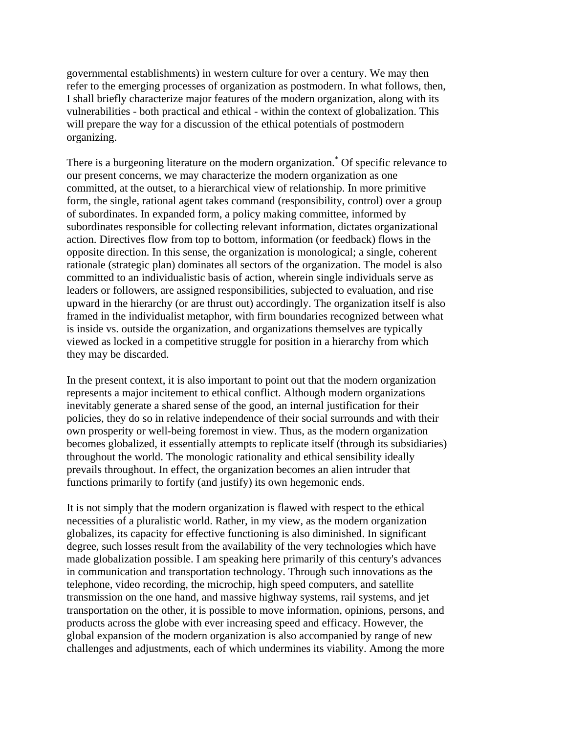governmental establishments) in western culture for over a century. We may then refer to the emerging processes of organization as postmodern. In what follows, then, I shall briefly characterize major features of the modern organization, along with its vulnerabilities - both practical and ethical - within the context of globalization. This will prepare the way for a discussion of the ethical potentials of postmodern organizing.

There is a burgeoning literature on the modern organization.<sup>\*</sup> Of specific relevance to our present concerns, we may characterize the modern organization as one committed, at the outset, to a hierarchical view of relationship. In more primitive form, the single, rational agent takes command (responsibility, control) over a group of subordinates. In expanded form, a policy making committee, informed by subordinates responsible for collecting relevant information, dictates organizational action. Directives flow from top to bottom, information (or feedback) flows in the opposite direction. In this sense, the organization is monological; a single, coherent rationale (strategic plan) dominates all sectors of the organization. The model is also committed to an individualistic basis of action, wherein single individuals serve as leaders or followers, are assigned responsibilities, subjected to evaluation, and rise upward in the hierarchy (or are thrust out) accordingly. The organization itself is also framed in the individualist metaphor, with firm boundaries recognized between what is inside vs. outside the organization, and organizations themselves are typically viewed as locked in a competitive struggle for position in a hierarchy from which they may be discarded.

In the present context, it is also important to point out that the modern organization represents a major incitement to ethical conflict. Although modern organizations inevitably generate a shared sense of the good, an internal justification for their policies, they do so in relative independence of their social surrounds and with their own prosperity or well-being foremost in view. Thus, as the modern organization becomes globalized, it essentially attempts to replicate itself (through its subsidiaries) throughout the world. The monologic rationality and ethical sensibility ideally prevails throughout. In effect, the organization becomes an alien intruder that functions primarily to fortify (and justify) its own hegemonic ends.

It is not simply that the modern organization is flawed with respect to the ethical necessities of a pluralistic world. Rather, in my view, as the modern organization globalizes, its capacity for effective functioning is also diminished. In significant degree, such losses result from the availability of the very technologies which have made globalization possible. I am speaking here primarily of this century's advances in communication and transportation technology. Through such innovations as the telephone, video recording, the microchip, high speed computers, and satellite transmission on the one hand, and massive highway systems, rail systems, and jet transportation on the other, it is possible to move information, opinions, persons, and products across the globe with ever increasing speed and efficacy. However, the global expansion of the modern organization is also accompanied by range of new challenges and adjustments, each of which undermines its viability. Among the more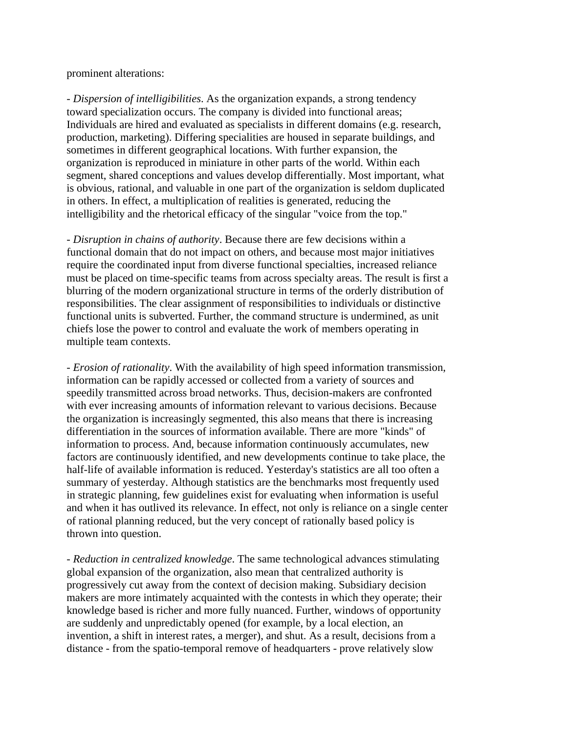#### prominent alterations:

*- Dispersion of intelligibilities*. As the organization expands, a strong tendency toward specialization occurs. The company is divided into functional areas; Individuals are hired and evaluated as specialists in different domains (e.g. research, production, marketing). Differing specialities are housed in separate buildings, and sometimes in different geographical locations. With further expansion, the organization is reproduced in miniature in other parts of the world. Within each segment, shared conceptions and values develop differentially. Most important, what is obvious, rational, and valuable in one part of the organization is seldom duplicated in others. In effect, a multiplication of realities is generated, reducing the intelligibility and the rhetorical efficacy of the singular "voice from the top."

*- Disruption in chains of authority*. Because there are few decisions within a functional domain that do not impact on others, and because most major initiatives require the coordinated input from diverse functional specialties, increased reliance must be placed on time-specific teams from across specialty areas. The result is first a blurring of the modern organizational structure in terms of the orderly distribution of responsibilities. The clear assignment of responsibilities to individuals or distinctive functional units is subverted. Further, the command structure is undermined, as unit chiefs lose the power to control and evaluate the work of members operating in multiple team contexts.

*- Erosion of rationality*. With the availability of high speed information transmission, information can be rapidly accessed or collected from a variety of sources and speedily transmitted across broad networks. Thus, decision-makers are confronted with ever increasing amounts of information relevant to various decisions. Because the organization is increasingly segmented, this also means that there is increasing differentiation in the sources of information available. There are more "kinds" of information to process. And, because information continuously accumulates, new factors are continuously identified, and new developments continue to take place, the half-life of available information is reduced. Yesterday's statistics are all too often a summary of yesterday. Although statistics are the benchmarks most frequently used in strategic planning, few guidelines exist for evaluating when information is useful and when it has outlived its relevance. In effect, not only is reliance on a single center of rational planning reduced, but the very concept of rationally based policy is thrown into question.

*- Reduction in centralized knowledge*. The same technological advances stimulating global expansion of the organization, also mean that centralized authority is progressively cut away from the context of decision making. Subsidiary decision makers are more intimately acquainted with the contests in which they operate; their knowledge based is richer and more fully nuanced. Further, windows of opportunity are suddenly and unpredictably opened (for example, by a local election, an invention, a shift in interest rates, a merger), and shut. As a result, decisions from a distance - from the spatio-temporal remove of headquarters - prove relatively slow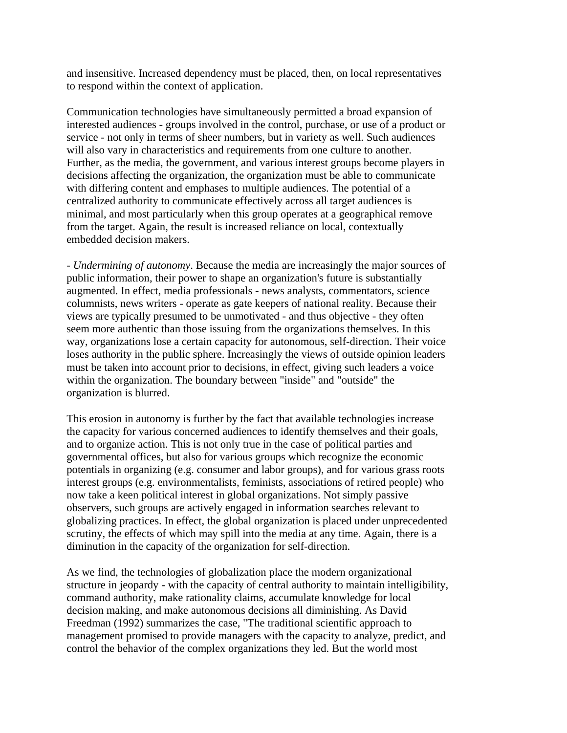and insensitive. Increased dependency must be placed, then, on local representatives to respond within the context of application.

Communication technologies have simultaneously permitted a broad expansion of interested audiences - groups involved in the control, purchase, or use of a product or service - not only in terms of sheer numbers, but in variety as well. Such audiences will also vary in characteristics and requirements from one culture to another. Further, as the media, the government, and various interest groups become players in decisions affecting the organization, the organization must be able to communicate with differing content and emphases to multiple audiences. The potential of a centralized authority to communicate effectively across all target audiences is minimal, and most particularly when this group operates at a geographical remove from the target. Again, the result is increased reliance on local, contextually embedded decision makers.

*- Undermining of autonomy*. Because the media are increasingly the major sources of public information, their power to shape an organization's future is substantially augmented. In effect, media professionals - news analysts, commentators, science columnists, news writers - operate as gate keepers of national reality. Because their views are typically presumed to be unmotivated - and thus objective - they often seem more authentic than those issuing from the organizations themselves. In this way, organizations lose a certain capacity for autonomous, self-direction. Their voice loses authority in the public sphere. Increasingly the views of outside opinion leaders must be taken into account prior to decisions, in effect, giving such leaders a voice within the organization. The boundary between "inside" and "outside" the organization is blurred.

This erosion in autonomy is further by the fact that available technologies increase the capacity for various concerned audiences to identify themselves and their goals, and to organize action. This is not only true in the case of political parties and governmental offices, but also for various groups which recognize the economic potentials in organizing (e.g. consumer and labor groups), and for various grass roots interest groups (e.g. environmentalists, feminists, associations of retired people) who now take a keen political interest in global organizations. Not simply passive observers, such groups are actively engaged in information searches relevant to globalizing practices. In effect, the global organization is placed under unprecedented scrutiny, the effects of which may spill into the media at any time. Again, there is a diminution in the capacity of the organization for self-direction.

As we find, the technologies of globalization place the modern organizational structure in jeopardy - with the capacity of central authority to maintain intelligibility, command authority, make rationality claims, accumulate knowledge for local decision making, and make autonomous decisions all diminishing. As David Freedman (1992) summarizes the case, "The traditional scientific approach to management promised to provide managers with the capacity to analyze, predict, and control the behavior of the complex organizations they led. But the world most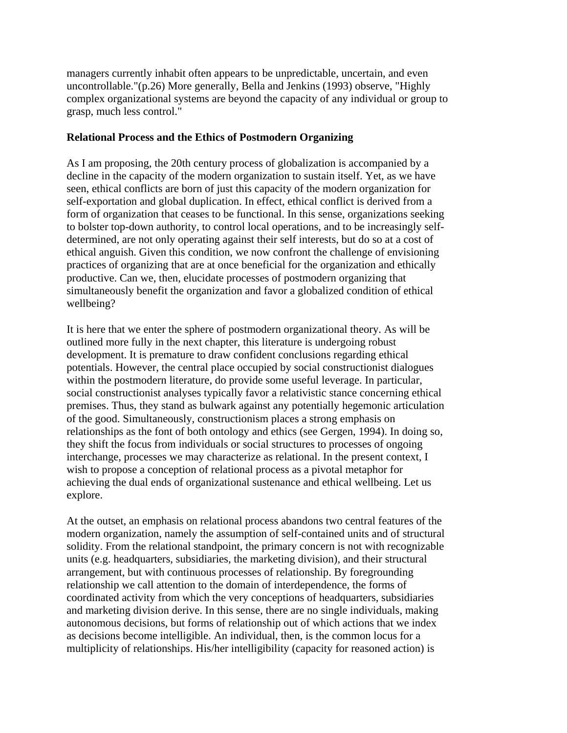managers currently inhabit often appears to be unpredictable, uncertain, and even uncontrollable."(p.26) More generally, Bella and Jenkins (1993) observe, "Highly complex organizational systems are beyond the capacity of any individual or group to grasp, much less control."

## **Relational Process and the Ethics of Postmodern Organizing**

As I am proposing, the 20th century process of globalization is accompanied by a decline in the capacity of the modern organization to sustain itself. Yet, as we have seen, ethical conflicts are born of just this capacity of the modern organization for self-exportation and global duplication. In effect, ethical conflict is derived from a form of organization that ceases to be functional. In this sense, organizations seeking to bolster top-down authority, to control local operations, and to be increasingly selfdetermined, are not only operating against their self interests, but do so at a cost of ethical anguish. Given this condition, we now confront the challenge of envisioning practices of organizing that are at once beneficial for the organization and ethically productive. Can we, then, elucidate processes of postmodern organizing that simultaneously benefit the organization and favor a globalized condition of ethical wellbeing?

It is here that we enter the sphere of postmodern organizational theory. As will be outlined more fully in the next chapter, this literature is undergoing robust development. It is premature to draw confident conclusions regarding ethical potentials. However, the central place occupied by social constructionist dialogues within the postmodern literature, do provide some useful leverage. In particular, social constructionist analyses typically favor a relativistic stance concerning ethical premises. Thus, they stand as bulwark against any potentially hegemonic articulation of the good. Simultaneously, constructionism places a strong emphasis on relationships as the font of both ontology and ethics (see Gergen, 1994). In doing so, they shift the focus from individuals or social structures to processes of ongoing interchange, processes we may characterize as relational. In the present context, I wish to propose a conception of relational process as a pivotal metaphor for achieving the dual ends of organizational sustenance and ethical wellbeing. Let us explore.

At the outset, an emphasis on relational process abandons two central features of the modern organization, namely the assumption of self-contained units and of structural solidity. From the relational standpoint, the primary concern is not with recognizable units (e.g. headquarters, subsidiaries, the marketing division), and their structural arrangement, but with continuous processes of relationship. By foregrounding relationship we call attention to the domain of interdependence, the forms of coordinated activity from which the very conceptions of headquarters, subsidiaries and marketing division derive. In this sense, there are no single individuals, making autonomous decisions, but forms of relationship out of which actions that we index as decisions become intelligible. An individual, then, is the common locus for a multiplicity of relationships. His/her intelligibility (capacity for reasoned action) is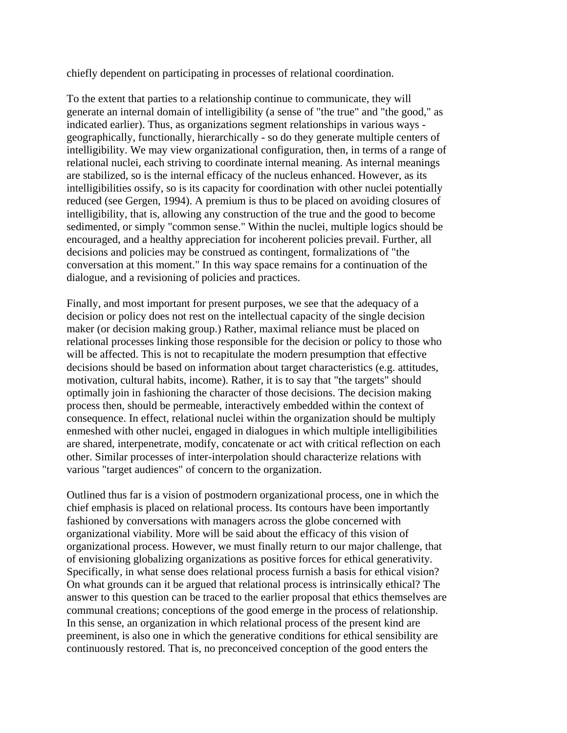chiefly dependent on participating in processes of relational coordination.

To the extent that parties to a relationship continue to communicate, they will generate an internal domain of intelligibility (a sense of "the true" and "the good," as indicated earlier). Thus, as organizations segment relationships in various ways geographically, functionally, hierarchically - so do they generate multiple centers of intelligibility. We may view organizational configuration, then, in terms of a range of relational nuclei, each striving to coordinate internal meaning. As internal meanings are stabilized, so is the internal efficacy of the nucleus enhanced. However, as its intelligibilities ossify, so is its capacity for coordination with other nuclei potentially reduced (see Gergen, 1994). A premium is thus to be placed on avoiding closures of intelligibility, that is, allowing any construction of the true and the good to become sedimented, or simply "common sense." Within the nuclei, multiple logics should be encouraged, and a healthy appreciation for incoherent policies prevail. Further, all decisions and policies may be construed as contingent, formalizations of "the conversation at this moment." In this way space remains for a continuation of the dialogue, and a revisioning of policies and practices.

Finally, and most important for present purposes, we see that the adequacy of a decision or policy does not rest on the intellectual capacity of the single decision maker (or decision making group.) Rather, maximal reliance must be placed on relational processes linking those responsible for the decision or policy to those who will be affected. This is not to recapitulate the modern presumption that effective decisions should be based on information about target characteristics (e.g. attitudes, motivation, cultural habits, income). Rather, it is to say that "the targets" should optimally join in fashioning the character of those decisions. The decision making process then, should be permeable, interactively embedded within the context of consequence. In effect, relational nuclei within the organization should be multiply enmeshed with other nuclei, engaged in dialogues in which multiple intelligibilities are shared, interpenetrate, modify, concatenate or act with critical reflection on each other. Similar processes of inter-interpolation should characterize relations with various "target audiences" of concern to the organization.

Outlined thus far is a vision of postmodern organizational process, one in which the chief emphasis is placed on relational process. Its contours have been importantly fashioned by conversations with managers across the globe concerned with organizational viability. More will be said about the efficacy of this vision of organizational process. However, we must finally return to our major challenge, that of envisioning globalizing organizations as positive forces for ethical generativity. Specifically, in what sense does relational process furnish a basis for ethical vision? On what grounds can it be argued that relational process is intrinsically ethical? The answer to this question can be traced to the earlier proposal that ethics themselves are communal creations; conceptions of the good emerge in the process of relationship. In this sense, an organization in which relational process of the present kind are preeminent, is also one in which the generative conditions for ethical sensibility are continuously restored. That is, no preconceived conception of the good enters the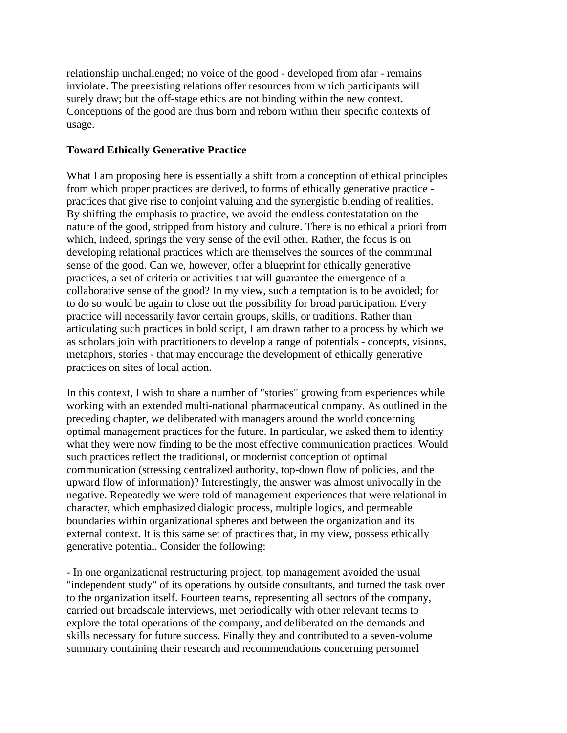relationship unchallenged; no voice of the good - developed from afar - remains inviolate. The preexisting relations offer resources from which participants will surely draw; but the off-stage ethics are not binding within the new context. Conceptions of the good are thus born and reborn within their specific contexts of usage.

## **Toward Ethically Generative Practice**

What I am proposing here is essentially a shift from a conception of ethical principles from which proper practices are derived, to forms of ethically generative practice practices that give rise to conjoint valuing and the synergistic blending of realities. By shifting the emphasis to practice, we avoid the endless contestatation on the nature of the good, stripped from history and culture. There is no ethical a priori from which, indeed, springs the very sense of the evil other. Rather, the focus is on developing relational practices which are themselves the sources of the communal sense of the good. Can we, however, offer a blueprint for ethically generative practices, a set of criteria or activities that will guarantee the emergence of a collaborative sense of the good? In my view, such a temptation is to be avoided; for to do so would be again to close out the possibility for broad participation. Every practice will necessarily favor certain groups, skills, or traditions. Rather than articulating such practices in bold script, I am drawn rather to a process by which we as scholars join with practitioners to develop a range of potentials - concepts, visions, metaphors, stories - that may encourage the development of ethically generative practices on sites of local action.

In this context, I wish to share a number of "stories" growing from experiences while working with an extended multi-national pharmaceutical company. As outlined in the preceding chapter, we deliberated with managers around the world concerning optimal management practices for the future. In particular, we asked them to identity what they were now finding to be the most effective communication practices. Would such practices reflect the traditional, or modernist conception of optimal communication (stressing centralized authority, top-down flow of policies, and the upward flow of information)? Interestingly, the answer was almost univocally in the negative. Repeatedly we were told of management experiences that were relational in character, which emphasized dialogic process, multiple logics, and permeable boundaries within organizational spheres and between the organization and its external context. It is this same set of practices that, in my view, possess ethically generative potential. Consider the following:

- In one organizational restructuring project, top management avoided the usual "independent study" of its operations by outside consultants, and turned the task over to the organization itself. Fourteen teams, representing all sectors of the company, carried out broadscale interviews, met periodically with other relevant teams to explore the total operations of the company, and deliberated on the demands and skills necessary for future success. Finally they and contributed to a seven-volume summary containing their research and recommendations concerning personnel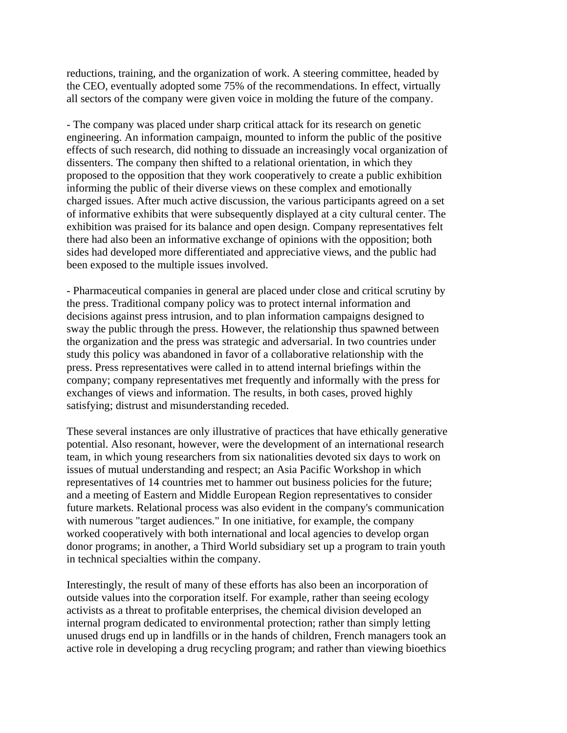reductions, training, and the organization of work. A steering committee, headed by the CEO, eventually adopted some 75% of the recommendations. In effect, virtually all sectors of the company were given voice in molding the future of the company.

- The company was placed under sharp critical attack for its research on genetic engineering. An information campaign, mounted to inform the public of the positive effects of such research, did nothing to dissuade an increasingly vocal organization of dissenters. The company then shifted to a relational orientation, in which they proposed to the opposition that they work cooperatively to create a public exhibition informing the public of their diverse views on these complex and emotionally charged issues. After much active discussion, the various participants agreed on a set of informative exhibits that were subsequently displayed at a city cultural center. The exhibition was praised for its balance and open design. Company representatives felt there had also been an informative exchange of opinions with the opposition; both sides had developed more differentiated and appreciative views, and the public had been exposed to the multiple issues involved.

- Pharmaceutical companies in general are placed under close and critical scrutiny by the press. Traditional company policy was to protect internal information and decisions against press intrusion, and to plan information campaigns designed to sway the public through the press. However, the relationship thus spawned between the organization and the press was strategic and adversarial. In two countries under study this policy was abandoned in favor of a collaborative relationship with the press. Press representatives were called in to attend internal briefings within the company; company representatives met frequently and informally with the press for exchanges of views and information. The results, in both cases, proved highly satisfying; distrust and misunderstanding receded.

These several instances are only illustrative of practices that have ethically generative potential. Also resonant, however, were the development of an international research team, in which young researchers from six nationalities devoted six days to work on issues of mutual understanding and respect; an Asia Pacific Workshop in which representatives of 14 countries met to hammer out business policies for the future; and a meeting of Eastern and Middle European Region representatives to consider future markets. Relational process was also evident in the company's communication with numerous "target audiences." In one initiative, for example, the company worked cooperatively with both international and local agencies to develop organ donor programs; in another, a Third World subsidiary set up a program to train youth in technical specialties within the company.

Interestingly, the result of many of these efforts has also been an incorporation of outside values into the corporation itself. For example, rather than seeing ecology activists as a threat to profitable enterprises, the chemical division developed an internal program dedicated to environmental protection; rather than simply letting unused drugs end up in landfills or in the hands of children, French managers took an active role in developing a drug recycling program; and rather than viewing bioethics